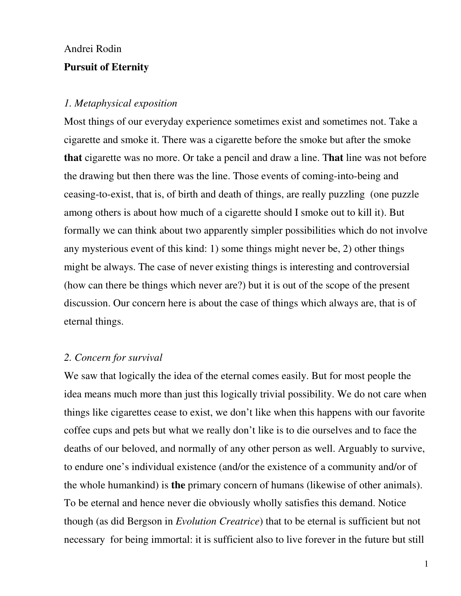# Andrei Rodin

## **Pursuit of Eternity**

#### *1. Metaphysical exposition*

Most things of our everyday experience sometimes exist and sometimes not. Take a cigarette and smoke it. There was a cigarette before the smoke but after the smoke **that** cigarette was no more. Or take a pencil and draw a line. T**hat** line was not before the drawing but then there was the line. Those events of coming-into-being and ceasing-to-exist, that is, of birth and death of things, are really puzzling (one puzzle among others is about how much of a cigarette should I smoke out to kill it). But formally we can think about two apparently simpler possibilities which do not involve any mysterious event of this kind: 1) some things might never be, 2) other things might be always. The case of never existing things is interesting and controversial (how can there be things which never are?) but it is out of the scope of the present discussion. Our concern here is about the case of things which always are, that is of eternal things.

## *2. Concern for survival*

We saw that logically the idea of the eternal comes easily. But for most people the idea means much more than just this logically trivial possibility. We do not care when things like cigarettes cease to exist, we don't like when this happens with our favorite coffee cups and pets but what we really don't like is to die ourselves and to face the deaths of our beloved, and normally of any other person as well. Arguably to survive, to endure one's individual existence (and/or the existence of a community and/or of the whole humankind) is **the** primary concern of humans (likewise of other animals). To be eternal and hence never die obviously wholly satisfies this demand. Notice though (as did Bergson in *Evolution Creatrice*) that to be eternal is sufficient but not necessary for being immortal: it is sufficient also to live forever in the future but still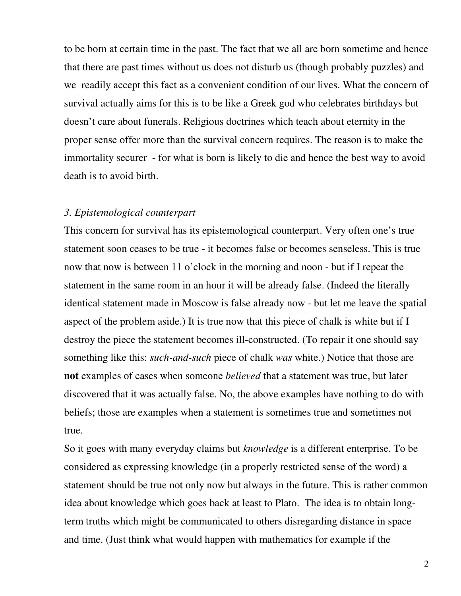to be born at certain time in the past. The fact that we all are born sometime and hence that there are past times without us does not disturb us (though probably puzzles) and we readily accept this fact as a convenient condition of our lives. What the concern of survival actually aims for this is to be like a Greek god who celebrates birthdays but doesn't care about funerals. Religious doctrines which teach about eternity in the proper sense offer more than the survival concern requires. The reason is to make the immortality securer - for what is born is likely to die and hence the best way to avoid death is to avoid birth.

# *3. Epistemological counterpart*

This concern for survival has its epistemological counterpart. Very often one's true statement soon ceases to be true - it becomes false or becomes senseless. This is true now that now is between 11 o'clock in the morning and noon - but if I repeat the statement in the same room in an hour it will be already false. (Indeed the literally identical statement made in Moscow is false already now - but let me leave the spatial aspect of the problem aside.) It is true now that this piece of chalk is white but if I destroy the piece the statement becomes ill-constructed. (To repair it one should say something like this: *such-and-such* piece of chalk *was* white.) Notice that those are **not** examples of cases when someone *believed* that a statement was true, but later discovered that it was actually false. No, the above examples have nothing to do with beliefs; those are examples when a statement is sometimes true and sometimes not true.

So it goes with many everyday claims but *knowledge* is a different enterprise. To be considered as expressing knowledge (in a properly restricted sense of the word) a statement should be true not only now but always in the future. This is rather common idea about knowledge which goes back at least to Plato. The idea is to obtain longterm truths which might be communicated to others disregarding distance in space and time. (Just think what would happen with mathematics for example if the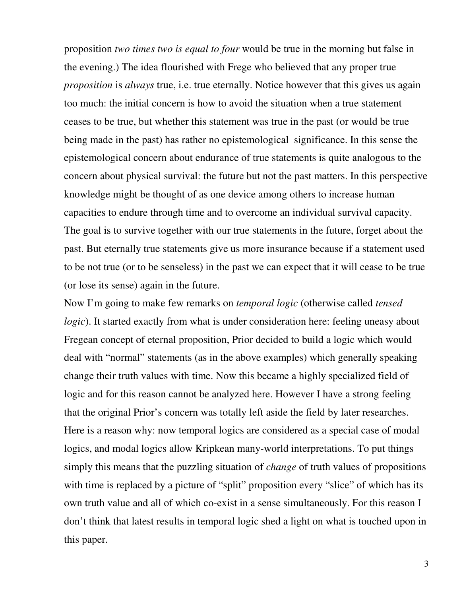proposition *two times two is equal to four* would be true in the morning but false in the evening.) The idea flourished with Frege who believed that any proper true *proposition* is *always* true, i.e. true eternally. Notice however that this gives us again too much: the initial concern is how to avoid the situation when a true statement ceases to be true, but whether this statement was true in the past (or would be true being made in the past) has rather no epistemological significance. In this sense the epistemological concern about endurance of true statements is quite analogous to the concern about physical survival: the future but not the past matters. In this perspective knowledge might be thought of as one device among others to increase human capacities to endure through time and to overcome an individual survival capacity. The goal is to survive together with our true statements in the future, forget about the past. But eternally true statements give us more insurance because if a statement used to be not true (or to be senseless) in the past we can expect that it will cease to be true (or lose its sense) again in the future.

Now I'm going to make few remarks on *temporal logic* (otherwise called *tensed logic*). It started exactly from what is under consideration here: feeling uneasy about Fregean concept of eternal proposition, Prior decided to build a logic which would deal with "normal" statements (as in the above examples) which generally speaking change their truth values with time. Now this became a highly specialized field of logic and for this reason cannot be analyzed here. However I have a strong feeling that the original Prior's concern was totally left aside the field by later researches. Here is a reason why: now temporal logics are considered as a special case of modal logics, and modal logics allow Kripkean many-world interpretations. To put things simply this means that the puzzling situation of *change* of truth values of propositions with time is replaced by a picture of "split" proposition every "slice" of which has its own truth value and all of which co-exist in a sense simultaneously. For this reason I don't think that latest results in temporal logic shed a light on what is touched upon in this paper.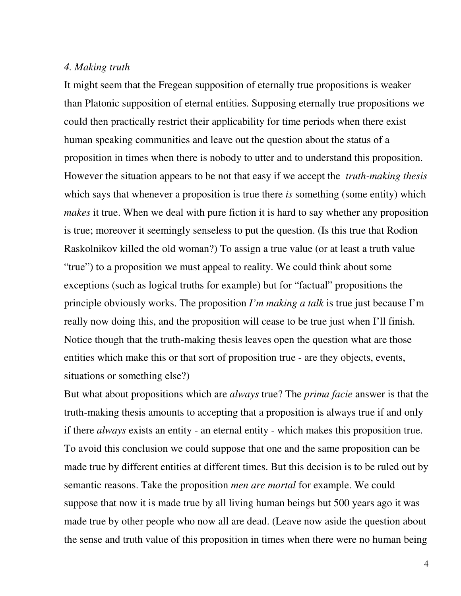#### *4. Making truth*

It might seem that the Fregean supposition of eternally true propositions is weaker than Platonic supposition of eternal entities. Supposing eternally true propositions we could then practically restrict their applicability for time periods when there exist human speaking communities and leave out the question about the status of a proposition in times when there is nobody to utter and to understand this proposition. However the situation appears to be not that easy if we accept the *truth-making thesis* which says that whenever a proposition is true there *is* something (some entity) which *makes* it true. When we deal with pure fiction it is hard to say whether any proposition is true; moreover it seemingly senseless to put the question. (Is this true that Rodion Raskolnikov killed the old woman?) To assign a true value (or at least a truth value "true") to a proposition we must appeal to reality. We could think about some exceptions (such as logical truths for example) but for "factual" propositions the principle obviously works. The proposition *I'm making a talk* is true just because I'm really now doing this, and the proposition will cease to be true just when I'll finish. Notice though that the truth-making thesis leaves open the question what are those entities which make this or that sort of proposition true - are they objects, events, situations or something else?)

But what about propositions which are *always* true? The *prima facie* answer is that the truth-making thesis amounts to accepting that a proposition is always true if and only if there *always* exists an entity - an eternal entity - which makes this proposition true. To avoid this conclusion we could suppose that one and the same proposition can be made true by different entities at different times. But this decision is to be ruled out by semantic reasons. Take the proposition *men are mortal* for example. We could suppose that now it is made true by all living human beings but 500 years ago it was made true by other people who now all are dead. (Leave now aside the question about the sense and truth value of this proposition in times when there were no human being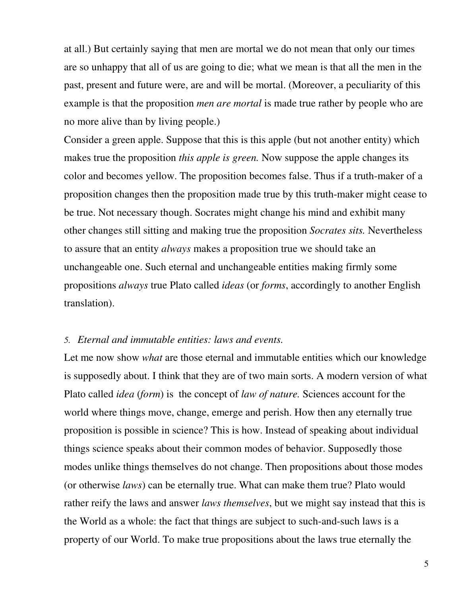at all.) But certainly saying that men are mortal we do not mean that only our times are so unhappy that all of us are going to die; what we mean is that all the men in the past, present and future were, are and will be mortal. (Moreover, a peculiarity of this example is that the proposition *men are mortal* is made true rather by people who are no more alive than by living people.)

Consider a green apple. Suppose that this is this apple (but not another entity) which makes true the proposition *this apple is green.* Now suppose the apple changes its color and becomes yellow. The proposition becomes false. Thus if a truth-maker of a proposition changes then the proposition made true by this truth-maker might cease to be true. Not necessary though. Socrates might change his mind and exhibit many other changes still sitting and making true the proposition *Socrates sits.* Nevertheless to assure that an entity *always* makes a proposition true we should take an unchangeable one. Such eternal and unchangeable entities making firmly some propositions *always* true Plato called *ideas* (or *forms*, accordingly to another English translation).

### *5. Eternal and immutable entities: laws and events.*

Let me now show *what* are those eternal and immutable entities which our knowledge is supposedly about. I think that they are of two main sorts. A modern version of what Plato called *idea* (*form*) is the concept of *law of nature.* Sciences account for the world where things move, change, emerge and perish. How then any eternally true proposition is possible in science? This is how. Instead of speaking about individual things science speaks about their common modes of behavior. Supposedly those modes unlike things themselves do not change. Then propositions about those modes (or otherwise *laws*) can be eternally true. What can make them true? Plato would rather reify the laws and answer *laws themselves*, but we might say instead that this is the World as a whole: the fact that things are subject to such-and-such laws is a property of our World. To make true propositions about the laws true eternally the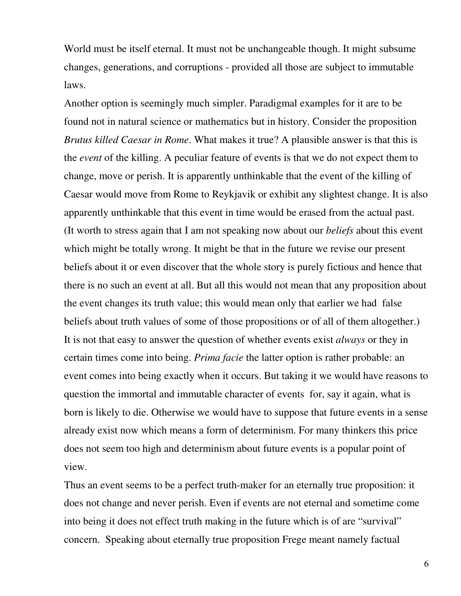World must be itself eternal. It must not be unchangeable though. It might subsume changes, generations, and corruptions - provided all those are subject to immutable laws.

Another option is seemingly much simpler. Paradigmal examples for it are to be found not in natural science or mathematics but in history. Consider the proposition *Brutus killed Caesar in Rome*. What makes it true? A plausible answer is that this is the *event* of the killing. A peculiar feature of events is that we do not expect them to change, move or perish. It is apparently unthinkable that the event of the killing of Caesar would move from Rome to Reykjavik or exhibit any slightest change. It is also apparently unthinkable that this event in time would be erased from the actual past. (It worth to stress again that I am not speaking now about our *beliefs* about this event which might be totally wrong. It might be that in the future we revise our present beliefs about it or even discover that the whole story is purely fictious and hence that there is no such an event at all. But all this would not mean that any proposition about the event changes its truth value; this would mean only that earlier we had false beliefs about truth values of some of those propositions or of all of them altogether.) It is not that easy to answer the question of whether events exist *always* or they in certain times come into being. *Prima facie* the latter option is rather probable: an event comes into being exactly when it occurs. But taking it we would have reasons to question the immortal and immutable character of events for, say it again, what is born is likely to die. Otherwise we would have to suppose that future events in a sense already exist now which means a form of determinism. For many thinkers this price does not seem too high and determinism about future events is a popular point of view.

Thus an event seems to be a perfect truth-maker for an eternally true proposition: it does not change and never perish. Even if events are not eternal and sometime come into being it does not effect truth making in the future which is of are "survival" concern. Speaking about eternally true proposition Frege meant namely factual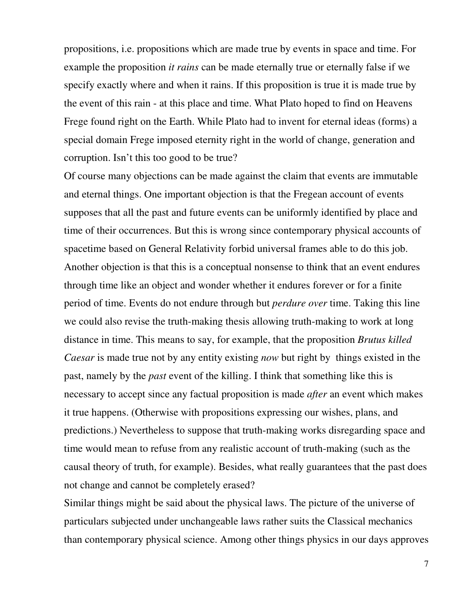propositions, i.e. propositions which are made true by events in space and time. For example the proposition *it rains* can be made eternally true or eternally false if we specify exactly where and when it rains. If this proposition is true it is made true by the event of this rain - at this place and time. What Plato hoped to find on Heavens Frege found right on the Earth. While Plato had to invent for eternal ideas (forms) a special domain Frege imposed eternity right in the world of change, generation and corruption. Isn't this too good to be true?

Of course many objections can be made against the claim that events are immutable and eternal things. One important objection is that the Fregean account of events supposes that all the past and future events can be uniformly identified by place and time of their occurrences. But this is wrong since contemporary physical accounts of spacetime based on General Relativity forbid universal frames able to do this job. Another objection is that this is a conceptual nonsense to think that an event endures through time like an object and wonder whether it endures forever or for a finite period of time. Events do not endure through but *perdure over* time. Taking this line we could also revise the truth-making thesis allowing truth-making to work at long distance in time. This means to say, for example, that the proposition *Brutus killed Caesar* is made true not by any entity existing *now* but right by things existed in the past, namely by the *past* event of the killing. I think that something like this is necessary to accept since any factual proposition is made *after* an event which makes it true happens. (Otherwise with propositions expressing our wishes, plans, and predictions.) Nevertheless to suppose that truth-making works disregarding space and time would mean to refuse from any realistic account of truth-making (such as the causal theory of truth, for example). Besides, what really guarantees that the past does not change and cannot be completely erased?

Similar things might be said about the physical laws. The picture of the universe of particulars subjected under unchangeable laws rather suits the Classical mechanics than contemporary physical science. Among other things physics in our days approves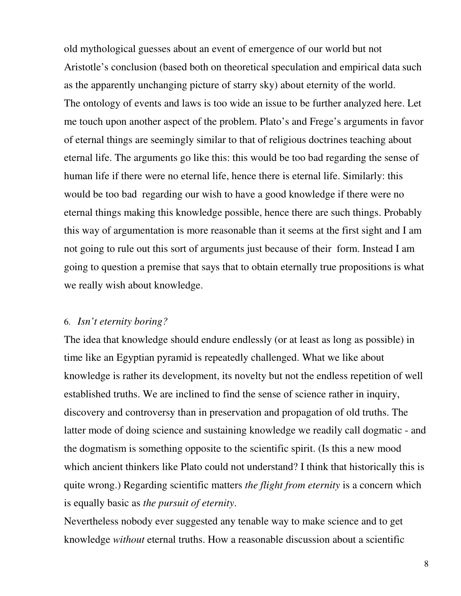old mythological guesses about an event of emergence of our world but not Aristotle's conclusion (based both on theoretical speculation and empirical data such as the apparently unchanging picture of starry sky) about eternity of the world. The ontology of events and laws is too wide an issue to be further analyzed here. Let me touch upon another aspect of the problem. Plato's and Frege's arguments in favor of eternal things are seemingly similar to that of religious doctrines teaching about eternal life. The arguments go like this: this would be too bad regarding the sense of human life if there were no eternal life, hence there is eternal life. Similarly: this would be too bad regarding our wish to have a good knowledge if there were no eternal things making this knowledge possible, hence there are such things. Probably this way of argumentation is more reasonable than it seems at the first sight and I am not going to rule out this sort of arguments just because of their form. Instead I am going to question a premise that says that to obtain eternally true propositions is what we really wish about knowledge.

#### 6. *Isn't eternity boring?*

The idea that knowledge should endure endlessly (or at least as long as possible) in time like an Egyptian pyramid is repeatedly challenged. What we like about knowledge is rather its development, its novelty but not the endless repetition of well established truths. We are inclined to find the sense of science rather in inquiry, discovery and controversy than in preservation and propagation of old truths. The latter mode of doing science and sustaining knowledge we readily call dogmatic - and the dogmatism is something opposite to the scientific spirit. (Is this a new mood which ancient thinkers like Plato could not understand? I think that historically this is quite wrong.) Regarding scientific matters *the flight from eternity* is a concern which is equally basic as *the pursuit of eternity*.

Nevertheless nobody ever suggested any tenable way to make science and to get knowledge *without* eternal truths. How a reasonable discussion about a scientific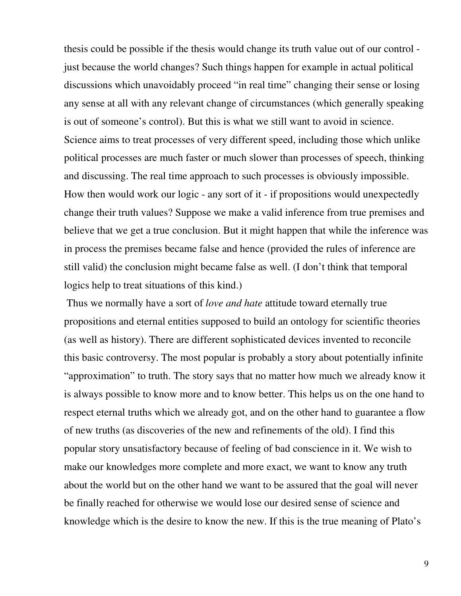thesis could be possible if the thesis would change its truth value out of our control just because the world changes? Such things happen for example in actual political discussions which unavoidably proceed "in real time" changing their sense or losing any sense at all with any relevant change of circumstances (which generally speaking is out of someone's control). But this is what we still want to avoid in science. Science aims to treat processes of very different speed, including those which unlike political processes are much faster or much slower than processes of speech, thinking and discussing. The real time approach to such processes is obviously impossible. How then would work our logic - any sort of it - if propositions would unexpectedly change their truth values? Suppose we make a valid inference from true premises and believe that we get a true conclusion. But it might happen that while the inference was in process the premises became false and hence (provided the rules of inference are still valid) the conclusion might became false as well. (I don't think that temporal logics help to treat situations of this kind.)

 Thus we normally have a sort of *love and hate* attitude toward eternally true propositions and eternal entities supposed to build an ontology for scientific theories (as well as history). There are different sophisticated devices invented to reconcile this basic controversy. The most popular is probably a story about potentially infinite "approximation" to truth. The story says that no matter how much we already know it is always possible to know more and to know better. This helps us on the one hand to respect eternal truths which we already got, and on the other hand to guarantee a flow of new truths (as discoveries of the new and refinements of the old). I find this popular story unsatisfactory because of feeling of bad conscience in it. We wish to make our knowledges more complete and more exact, we want to know any truth about the world but on the other hand we want to be assured that the goal will never be finally reached for otherwise we would lose our desired sense of science and knowledge which is the desire to know the new. If this is the true meaning of Plato's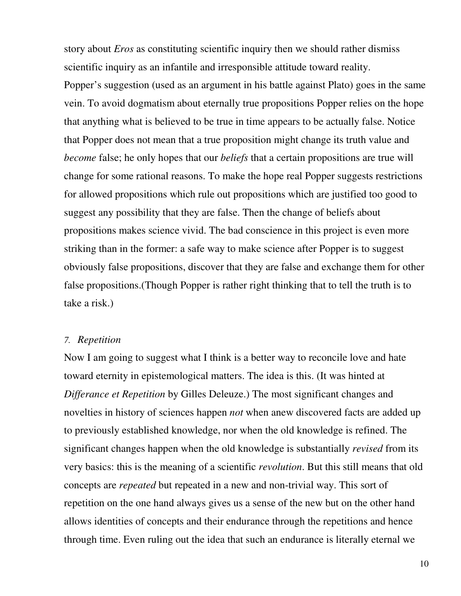story about *Eros* as constituting scientific inquiry then we should rather dismiss scientific inquiry as an infantile and irresponsible attitude toward reality. Popper's suggestion (used as an argument in his battle against Plato) goes in the same vein. To avoid dogmatism about eternally true propositions Popper relies on the hope that anything what is believed to be true in time appears to be actually false. Notice that Popper does not mean that a true proposition might change its truth value and *become* false; he only hopes that our *beliefs* that a certain propositions are true will change for some rational reasons. To make the hope real Popper suggests restrictions for allowed propositions which rule out propositions which are justified too good to suggest any possibility that they are false. Then the change of beliefs about propositions makes science vivid. The bad conscience in this project is even more striking than in the former: a safe way to make science after Popper is to suggest obviously false propositions, discover that they are false and exchange them for other false propositions.(Though Popper is rather right thinking that to tell the truth is to take a risk.)

### *7. Repetition*

Now I am going to suggest what I think is a better way to reconcile love and hate toward eternity in epistemological matters. The idea is this. (It was hinted at *Differance et Repetition* by Gilles Deleuze.) The most significant changes and novelties in history of sciences happen *not* when anew discovered facts are added up to previously established knowledge, nor when the old knowledge is refined. The significant changes happen when the old knowledge is substantially *revised* from its very basics: this is the meaning of a scientific *revolution*. But this still means that old concepts are *repeated* but repeated in a new and non-trivial way. This sort of repetition on the one hand always gives us a sense of the new but on the other hand allows identities of concepts and their endurance through the repetitions and hence through time. Even ruling out the idea that such an endurance is literally eternal we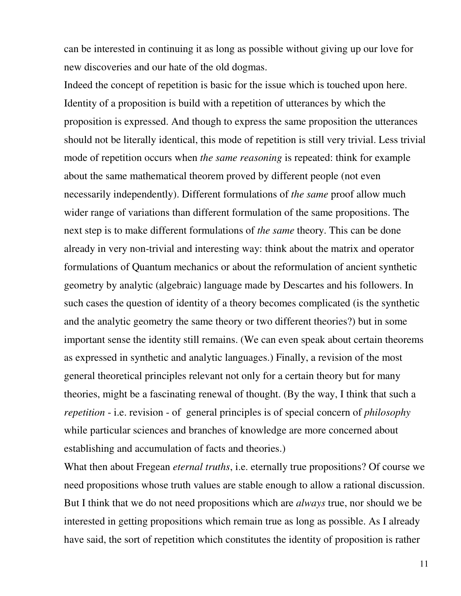can be interested in continuing it as long as possible without giving up our love for new discoveries and our hate of the old dogmas.

Indeed the concept of repetition is basic for the issue which is touched upon here. Identity of a proposition is build with a repetition of utterances by which the proposition is expressed. And though to express the same proposition the utterances should not be literally identical, this mode of repetition is still very trivial. Less trivial mode of repetition occurs when *the same reasoning* is repeated: think for example about the same mathematical theorem proved by different people (not even necessarily independently). Different formulations of *the same* proof allow much wider range of variations than different formulation of the same propositions. The next step is to make different formulations of *the same* theory. This can be done already in very non-trivial and interesting way: think about the matrix and operator formulations of Quantum mechanics or about the reformulation of ancient synthetic geometry by analytic (algebraic) language made by Descartes and his followers. In such cases the question of identity of a theory becomes complicated (is the synthetic and the analytic geometry the same theory or two different theories?) but in some important sense the identity still remains. (We can even speak about certain theorems as expressed in synthetic and analytic languages.) Finally, a revision of the most general theoretical principles relevant not only for a certain theory but for many theories, might be a fascinating renewal of thought. (By the way, I think that such a *repetition* - i.e. revision - of general principles is of special concern of *philosophy* while particular sciences and branches of knowledge are more concerned about establishing and accumulation of facts and theories.)

What then about Fregean *eternal truths*, i.e. eternally true propositions? Of course we need propositions whose truth values are stable enough to allow a rational discussion. But I think that we do not need propositions which are *always* true, nor should we be interested in getting propositions which remain true as long as possible. As I already have said, the sort of repetition which constitutes the identity of proposition is rather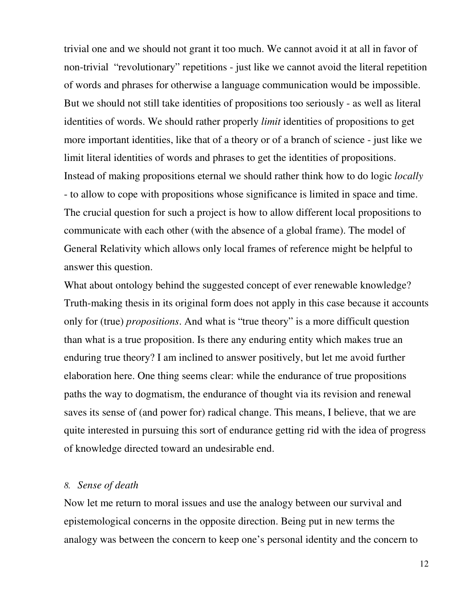trivial one and we should not grant it too much. We cannot avoid it at all in favor of non-trivial "revolutionary" repetitions - just like we cannot avoid the literal repetition of words and phrases for otherwise a language communication would be impossible. But we should not still take identities of propositions too seriously - as well as literal identities of words. We should rather properly *limit* identities of propositions to get more important identities, like that of a theory or of a branch of science - just like we limit literal identities of words and phrases to get the identities of propositions. Instead of making propositions eternal we should rather think how to do logic *locally* - to allow to cope with propositions whose significance is limited in space and time. The crucial question for such a project is how to allow different local propositions to communicate with each other (with the absence of a global frame). The model of General Relativity which allows only local frames of reference might be helpful to answer this question.

What about ontology behind the suggested concept of ever renewable knowledge? Truth-making thesis in its original form does not apply in this case because it accounts only for (true) *propositions*. And what is "true theory" is a more difficult question than what is a true proposition. Is there any enduring entity which makes true an enduring true theory? I am inclined to answer positively, but let me avoid further elaboration here. One thing seems clear: while the endurance of true propositions paths the way to dogmatism, the endurance of thought via its revision and renewal saves its sense of (and power for) radical change. This means, I believe, that we are quite interested in pursuing this sort of endurance getting rid with the idea of progress of knowledge directed toward an undesirable end.

# *8. Sense of death*

Now let me return to moral issues and use the analogy between our survival and epistemological concerns in the opposite direction. Being put in new terms the analogy was between the concern to keep one's personal identity and the concern to